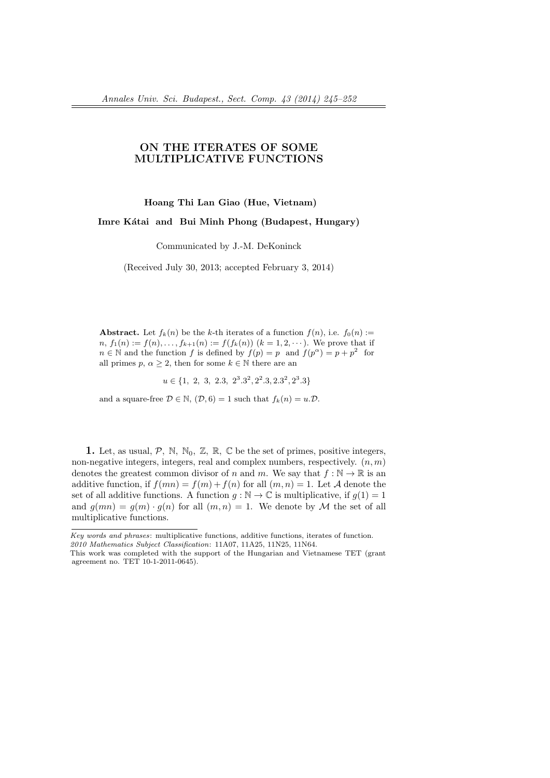## **ON THE ITERATES OF SOME MULTIPLICATIVE FUNCTIONS**

## **Hoang Thi Lan Giao (Hue, Vietnam)**

Imre Kátai and Bui Minh Phong (Budapest, Hungary)

Communicated by J.-M. DeKoninck

(Received July 30, 2013; accepted February 3, 2014)

**Abstract.** Let  $f_k(n)$  be the *k*-th iterates of a function  $f(n)$ , i.e.  $f_0(n)$  :=  $n, f_1(n) := f(n), \ldots, f_{k+1}(n) := f(f_k(n))$  ( $k = 1, 2, \cdots$ ). We prove that if  $n \in \mathbb{N}$  and the function *f* is defined by  $f(p) = p$  and  $f(p^{\alpha}) = p + p^2$  for all primes  $p, \alpha \geq 2$ , then for some  $k \in \mathbb{N}$  there are an

 $u \in \{1, 2, 3, 2.3, 2^3.3^2, 2^2.3, 2.3^2, 2^3.3\}$ 

and a square-free  $\mathcal{D} \in \mathbb{N}$ ,  $(\mathcal{D}, 6) = 1$  such that  $f_k(n) = u \cdot \mathcal{D}$ .

**1.** Let, as usual,  $P$ , N, N<sub>0</sub>, Z, R, C be the set of primes, positive integers, non-negative integers, integers, real and complex numbers, respectively. (*n, m*) denotes the greatest common divisor of *n* and *m*. We say that  $f : \mathbb{N} \to \mathbb{R}$  is an additive function, if  $f(mn) = f(m) + f(n)$  for all  $(m, n) = 1$ . Let *A* denote the set of all additive functions. A function  $g : \mathbb{N} \to \mathbb{C}$  is multiplicative, if  $g(1) = 1$ and  $g(mn) = g(m) \cdot g(n)$  for all  $(m, n) = 1$ . We denote by *M* the set of all multiplicative functions.

*Key words and phrases*: multiplicative functions, additive functions, iterates of function. *2010 Mathematics Subject Classification*: 11A07, 11A25, 11N25, 11N64.

This work was completed with the support of the Hungarian and Vietnamese TET (grant agreement no. TET 10-1-2011-0645).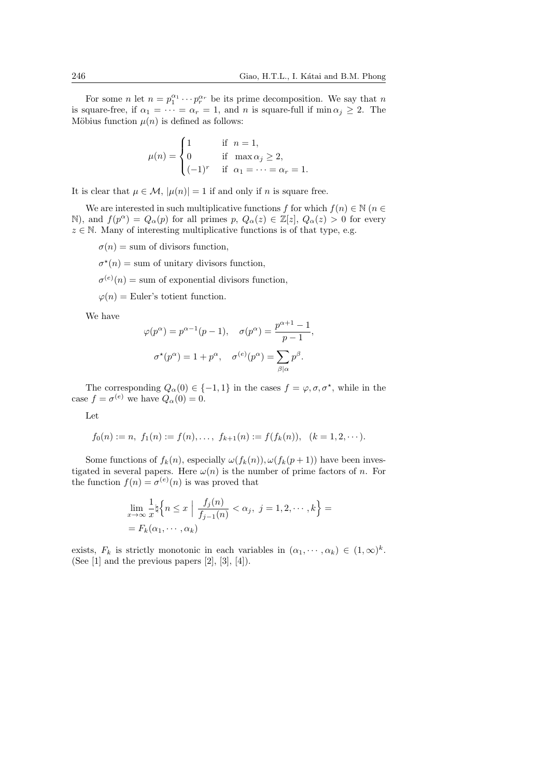For some *n* let  $n = p_1^{\alpha_1} \cdots p_r^{\alpha_r}$  be its prime decomposition. We say that *n* is square-free, if  $\alpha_1 = \cdots = \alpha_r = 1$ , and *n* is square-full if min  $\alpha_j \geq 2$ . The Möbius function  $\mu(n)$  is defined as follows:

$$
\mu(n) = \begin{cases} 1 & \text{if } n = 1, \\ 0 & \text{if } \max \alpha_j \ge 2, \\ (-1)^r & \text{if } \alpha_1 = \dots = \alpha_r = 1. \end{cases}
$$

It is clear that  $\mu \in \mathcal{M}$ ,  $|\mu(n)| = 1$  if and only if *n* is square free.

We are interested in such multiplicative functions *f* for which  $f(n) \in \mathbb{N}$  ( $n \in \mathbb{N}$ ) N), and  $f(p^{\alpha}) = Q_{\alpha}(p)$  for all primes  $p, Q_{\alpha}(z) \in \mathbb{Z}[z], Q_{\alpha}(z) > 0$  for every  $z \in \mathbb{N}$ . Many of interesting multiplicative functions is of that type, e.g.

 $\sigma(n) =$  sum of divisors function,

 $\sigma^*(n) =$  sum of unitary divisors function,

 $\sigma^{(e)}(n) = \text{sum of exponential divisors function},$ 

 $\varphi(n)$  = Euler's totient function.

We have

$$
\varphi(p^{\alpha}) = p^{\alpha - 1}(p - 1), \quad \sigma(p^{\alpha}) = \frac{p^{\alpha + 1} - 1}{p - 1},
$$

$$
\sigma^{\star}(p^{\alpha}) = 1 + p^{\alpha}, \quad \sigma^{(e)}(p^{\alpha}) = \sum_{\beta \mid \alpha} p^{\beta}.
$$

The corresponding  $Q_{\alpha}(0) \in \{-1,1\}$  in the cases  $f = \varphi, \sigma, \sigma^*$ , while in the case  $f = \sigma^{(e)}$  we have  $Q_{\alpha}(0) = 0$ .

Let

$$
f_0(n) := n
$$
,  $f_1(n) := f(n), \ldots$ ,  $f_{k+1}(n) := f(f_k(n)), \quad (k = 1, 2, \ldots)$ .

Some functions of  $f_k(n)$ , especially  $\omega(f_k(n))$ ,  $\omega(f_k(p+1))$  have been investigated in several papers. Here  $\omega(n)$  is the number of prime factors of *n*. For the function  $f(n) = \sigma^{(e)}(n)$  is was proved that

$$
\lim_{x \to \infty} \frac{1}{x} \natural \left\{ n \leq x \mid \frac{f_j(n)}{f_{j-1}(n)} < \alpha_j, \ j = 1, 2, \cdots, k \right\} =
$$
\n
$$
= F_k(\alpha_1, \cdots, \alpha_k)
$$

exists,  $F_k$  is strictly monotonic in each variables in  $(\alpha_1, \dots, \alpha_k) \in (1, \infty)^k$ . (See [1] and the previous papers [2], [3], [4]).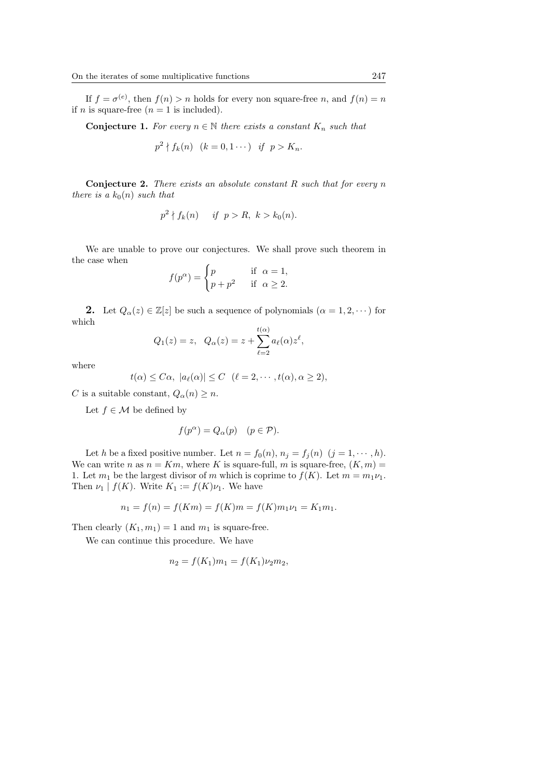If  $f = \sigma^{(e)}$ , then  $f(n) > n$  holds for every non square-free *n*, and  $f(n) = n$ if  $n$  is square-free  $(n = 1$  is included).

**Conjecture 1.** For every  $n \in \mathbb{N}$  there exists a constant  $K_n$  such that

$$
p^2 \nmid f_k(n) \quad (k=0,1\cdots) \quad \text{if} \quad p > K_n.
$$

**Conjecture 2.** *There exists an absolute constant R such that for every n there is a*  $k_0(n)$  *such that* 

$$
p^2 \nmid f_k(n) \quad \text{if } p > R, \ k > k_0(n).
$$

We are unable to prove our conjectures. We shall prove such theorem in the case when

$$
f(p^{\alpha}) = \begin{cases} p & \text{if } \alpha = 1, \\ p + p^2 & \text{if } \alpha \ge 2. \end{cases}
$$

**2.** Let  $Q_{\alpha}(z) \in \mathbb{Z}[z]$  be such a sequence of polynomials  $(\alpha = 1, 2, \dots)$  for which

$$
Q_1(z) = z, \quad Q_{\alpha}(z) = z + \sum_{\ell=2}^{t(\alpha)} a_{\ell}(\alpha) z^{\ell},
$$

where

$$
t(\alpha) \leq C\alpha, \ |a_{\ell}(\alpha)| \leq C \ \ (\ell = 2, \cdots, t(\alpha), \alpha \geq 2),
$$

*C* is a suitable constant,  $Q_{\alpha}(n) \geq n$ .

Let  $f \in \mathcal{M}$  be defined by

$$
f(p^{\alpha}) = Q_{\alpha}(p) \quad (p \in \mathcal{P}).
$$

Let *h* be a fixed positive number. Let  $n = f_0(n), n_j = f_j(n)$  ( $j = 1, \dots, h$ ). We can write *n* as  $n = Km$ , where *K* is square-full, *m* is square-free,  $(K, m) =$ 1. Let  $m_1$  be the largest divisor of  $m$  which is coprime to  $f(K)$ . Let  $m = m_1 \nu_1$ . Then  $\nu_1 | f(K)$ . Write  $K_1 := f(K)\nu_1$ . We have

$$
n_1 = f(n) = f(Km) = f(K)m = f(K)m_1\nu_1 = K_1m_1.
$$

Then clearly  $(K_1, m_1) = 1$  and  $m_1$  is square-free.

We can continue this procedure. We have

$$
n_2 = f(K_1)m_1 = f(K_1)\nu_2m_2,
$$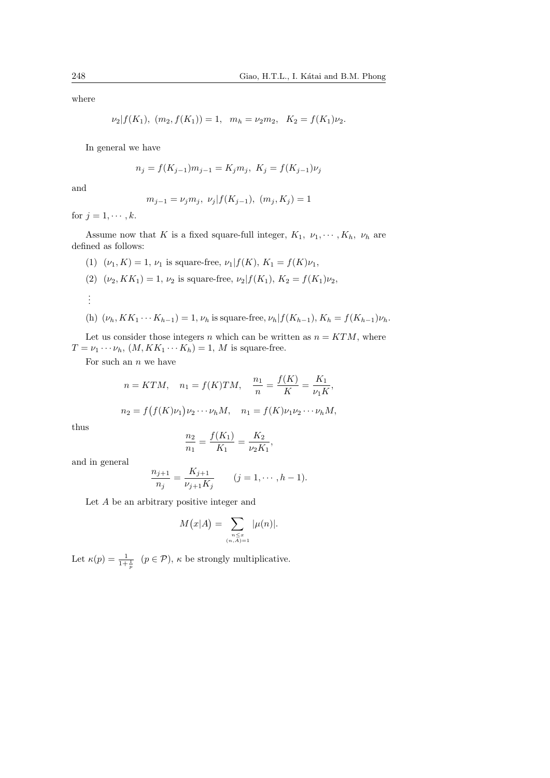where

$$
\nu_2|f(K_1), (m_2, f(K_1)) = 1, m_h = \nu_2 m_2, K_2 = f(K_1)\nu_2.
$$

In general we have

$$
n_j = f(K_{j-1})m_{j-1} = K_jm_j, \ K_j = f(K_{j-1})\nu_j
$$

and

$$
m_{j-1} = \nu_j m_j, \ \nu_j | f(K_{j-1}), \ (m_j, K_j) = 1
$$

for  $j = 1, \dots, k$ .

Assume now that *K* is a fixed square-full integer,  $K_1$ ,  $\nu_1$ ,  $\cdots$ ,  $K_h$ ,  $\nu_h$  are defined as follows:

- (1)  $(\nu_1, K) = 1, \nu_1$  is square-free,  $\nu_1 | f(K), K_1 = f(K)\nu_1$ ,
- (2)  $(\nu_2, K K_1) = 1, \nu_2$  is square-free,  $\nu_2 | f(K_1), K_2 = f(K_1) \nu_2$ ,

. . .

(h)  $(\nu_h, KK_1 \cdots K_{h-1}) = 1$ ,  $\nu_h$  is square-free,  $\nu_h | f(K_{h-1}), K_h = f(K_{h-1}) \nu_h$ .

Let us consider those integers *n* which can be written as  $n = KTM$ , where  $T = \nu_1 \cdots \nu_h$ ,  $(M, KK_1 \cdots K_h) = 1$ , *M* is square-free.

For such an *n* we have

$$
n = KTM
$$
,  $n_1 = f(K)TM$ ,  $\frac{n_1}{n} = \frac{f(K)}{K} = \frac{K_1}{\nu_1 K}$ ,

$$
n_2 = f(f(K)\nu_1)\nu_2\cdots\nu_h M, \quad n_1 = f(K)\nu_1\nu_2\cdots\nu_h M,
$$

thus

$$
\frac{n_2}{n_1} = \frac{f(K_1)}{K_1} = \frac{K_2}{\nu_2 K_1},
$$

and in general

$$
\frac{n_{j+1}}{n_j} = \frac{K_{j+1}}{\nu_{j+1}K_j} \qquad (j = 1, \cdots, h-1).
$$

Let *A* be an arbitrary positive integer and

$$
M(x|A) = \sum_{\substack{n \le x \\ (n,A)=1}} |\mu(n)|.
$$

Let  $\kappa(p) = \frac{1}{1 + \frac{1}{p}}$   $(p \in \mathcal{P})$ ,  $\kappa$  be strongly multiplicative.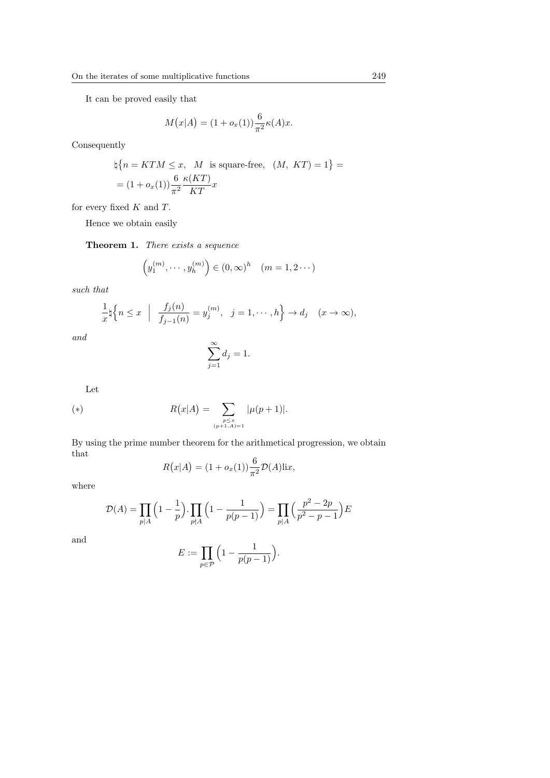It can be proved easily that

$$
M(x|A) = (1 + o_x(1))\frac{6}{\pi^2}\kappa(A)x.
$$

Consequently

$$
\nexists \{ n = KTM \le x, \ M \text{ is square-free}, \ (M, KT) = 1 \} =
$$
  
= 
$$
(1 + o_x(1)) \frac{6}{\pi^2} \frac{\kappa (KT)}{KT} x
$$

for every fixed *K* and *T*.

Hence we obtain easily

**Theorem 1.** *There exists a sequence*

$$
(y_1^{(m)}, \dots, y_h^{(m)}) \in (0, \infty)^h \quad (m = 1, 2 \dots)
$$

*such that*

$$
\frac{1}{x}\natural \Big\{n\leq x \ \Big|\ \frac{f_j(n)}{f_{j-1}(n)}=y_j^{(m)}, \ j=1,\cdots,h\Big\}\to d_j \quad (x\to\infty),
$$

*and*

$$
\sum_{j=1}^{\infty} d_j = 1.
$$

Let

(\*) 
$$
R(x|A) = \sum_{\substack{p \leq x \\ (p+1,A)=1}} |\mu(p+1)|.
$$

By using the prime number theorem for the arithmetical progression, we obtain that

$$
R(x|A) = (1 + ox(1))\frac{6}{\pi^2}\mathcal{D}(A)\mathrm{li}x,
$$

where

$$
\mathcal{D}(A) = \prod_{p|A} \left(1 - \frac{1}{p}\right) \cdot \prod_{p\nmid A} \left(1 - \frac{1}{p(p-1)}\right) = \prod_{p|A} \left(\frac{p^2 - 2p}{p^2 - p - 1}\right) E
$$

and

$$
E := \prod_{p \in \mathcal{P}} \Big( 1 - \frac{1}{p(p-1)} \Big).
$$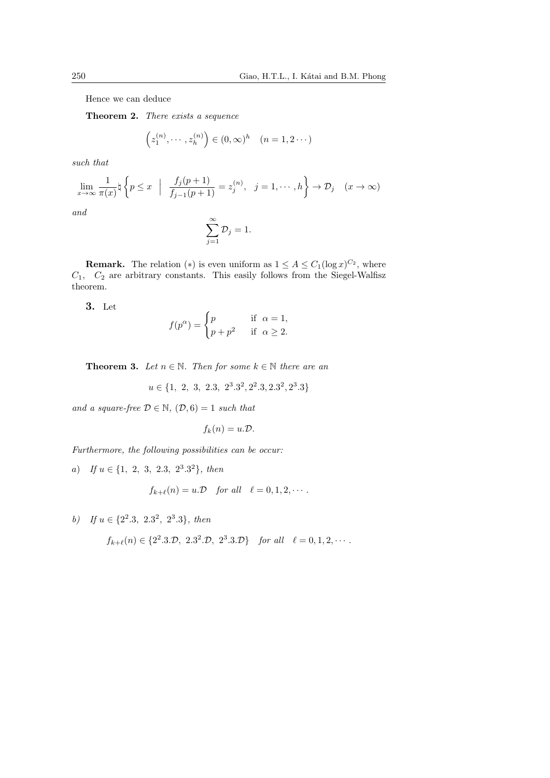Hence we can deduce

**Theorem 2.** *There exists a sequence*

$$
(z_1^{(n)}, \dots, z_h^{(n)}) \in (0, \infty)^h \quad (n = 1, 2 \dots)
$$

*such that*

$$
\lim_{x \to \infty} \frac{1}{\pi(x)} \natural \left\{ p \le x \mid \frac{f_j(p+1)}{f_{j-1}(p+1)} = z_j^{(n)}, \ j = 1, \cdots, h \right\} \to \mathcal{D}_j \quad (x \to \infty)
$$
  
and

*and*

$$
\sum_{j=1}^{\infty} \mathcal{D}_j = 1.
$$

**Remark.** The relation (\*) is even uniform as  $1 \leq A \leq C_1(\log x)^{C_2}$ , where *C*1*, C*<sup>2</sup> are arbitrary constants. This easily follows from the Siegel-Walfisz theorem.

**3.** Let

$$
f(p^{\alpha}) = \begin{cases} p & \text{if } \alpha = 1, \\ p + p^2 & \text{if } \alpha \ge 2. \end{cases}
$$

**Theorem 3.** *Let*  $n \in \mathbb{N}$ *. Then for some*  $k \in \mathbb{N}$  *there are an* 

$$
u \in \{1, 2, 3, 2.3, 2^3.3^2, 2^2.3, 2.3^2, 2^3.3\}
$$

*and a square-free*  $\mathcal{D} \in \mathbb{N}$ *,*  $(\mathcal{D}, 6) = 1$  *such that* 

$$
f_k(n) = u.\mathcal{D}.
$$

*Furthermore, the following possibilities can be occur:*

*a*) *If u ∈ {*1*,* 2*,* 3*,* 2*.*3*,* 2 3 *.*3 <sup>2</sup>*}, then*

$$
f_{k+\ell}(n) = u \mathcal{D} \quad \text{for all} \quad \ell = 0, 1, 2, \cdots.
$$

*b*) If  $u \in \{2^2.3, 2.3^2, 2^3.3\}$ *, then* 

$$
f_{k+\ell}(n) \in \{2^2.3.2, 2.3^2.2, 2^3.3.2\}
$$
 for all  $\ell = 0, 1, 2, \cdots$ .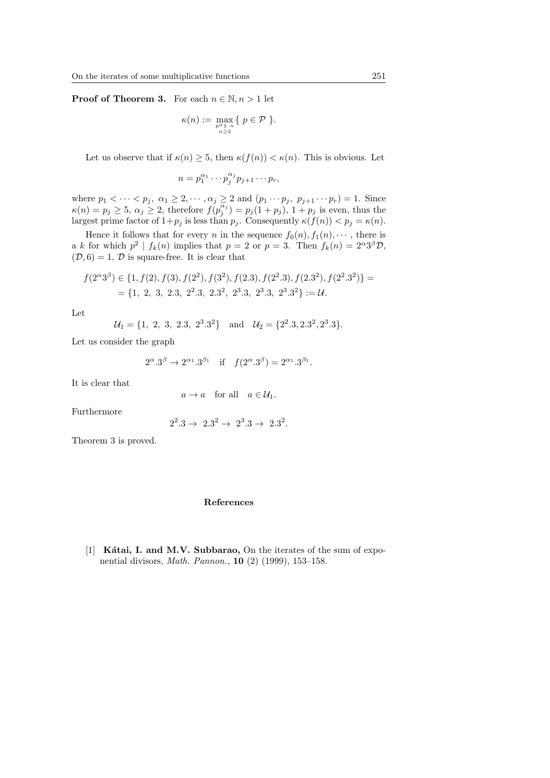**Proof of Theorem 3.** For each  $n \in \mathbb{N}, n > 1$  let

$$
\kappa(n) := \max_{\substack{p^{\alpha} \parallel n \\ \alpha \ge 2}} \{ p \in \mathcal{P} \}.
$$

Let us observe that if  $\kappa(n) \geq 5$ , then  $\kappa(f(n)) < \kappa(n)$ . This is obvious. Let

$$
n=p_1^{\alpha_1}\cdots p_j^{\alpha_j}p_{j+1}\cdots p_r,
$$

where  $p_1 < \cdots < p_j$ ,  $\alpha_1 \geq 2, \cdots, \alpha_j \geq 2$  and  $(p_1 \cdots p_j, p_{j+1} \cdots p_r) = 1$ . Since  $\kappa(n) = p_j \geq 5, \ \alpha_j \geq 2$ , therefore  $f(p_j^{\overline{\alpha_j}}) = p_j(1 + p_j), \ 1 + p_j$  is even, thus the largest prime factor of  $1+p_j$  is less than  $p_j$ . Consequently  $\kappa(f(n)) < p_j = \kappa(n)$ .

Hence it follows that for every *n* in the sequence  $f_0(n), f_1(n), \cdots$ , there is a *k* for which  $p^2 | f_k(n)$  implies that  $p = 2$  or  $p = 3$ . Then  $f_k(n) = 2^{\alpha}3^{\beta}\mathcal{D}$ ,  $(\mathcal{D}, 6) = 1, \mathcal{D}$  is square-free. It is clear that

$$
f(2^{\alpha}3^{\beta}) \in \{1, f(2), f(3), f(2^2), f(3^2), f(2.3), f(2^2.3), f(2.3^2), f(2^2.3^2)\} =
$$
  
= {1, 2, 3, 2.3, 2<sup>2</sup>.3, 2.3<sup>2</sup>, 2<sup>3</sup>.3, 2<sup>3</sup>.3, 2<sup>3</sup>.3<sup>2</sup>} := *U*.

Let

$$
\mathcal{U}_1 = \{1, 2, 3, 2.3, 2^3.3^2\}
$$
 and  $\mathcal{U}_2 = \{2^2.3, 2.3^2, 2^3.3\}.$ 

Let us consider the graph

$$
2^{\alpha}.3^{\beta} \to 2^{\alpha_1}.3^{\beta_1}
$$
 if  $f(2^{\alpha}.3^{\beta}) = 2^{\alpha_1}.3^{\beta_1}$ .

It is clear that

$$
a \to a
$$
 for all  $a \in \mathcal{U}_1$ .

Furthermore

$$
2^2.3 \to 2.3^2 \to 2^3.3 \to 2.3^2.
$$

Theorem 3 is proved.

## **References**

[1] **Kátai, I. and M.V. Subbarao,** On the iterates of the sum of exponential divisors, *Math. Pannon.,* **10** (2) (1999), 153–158.